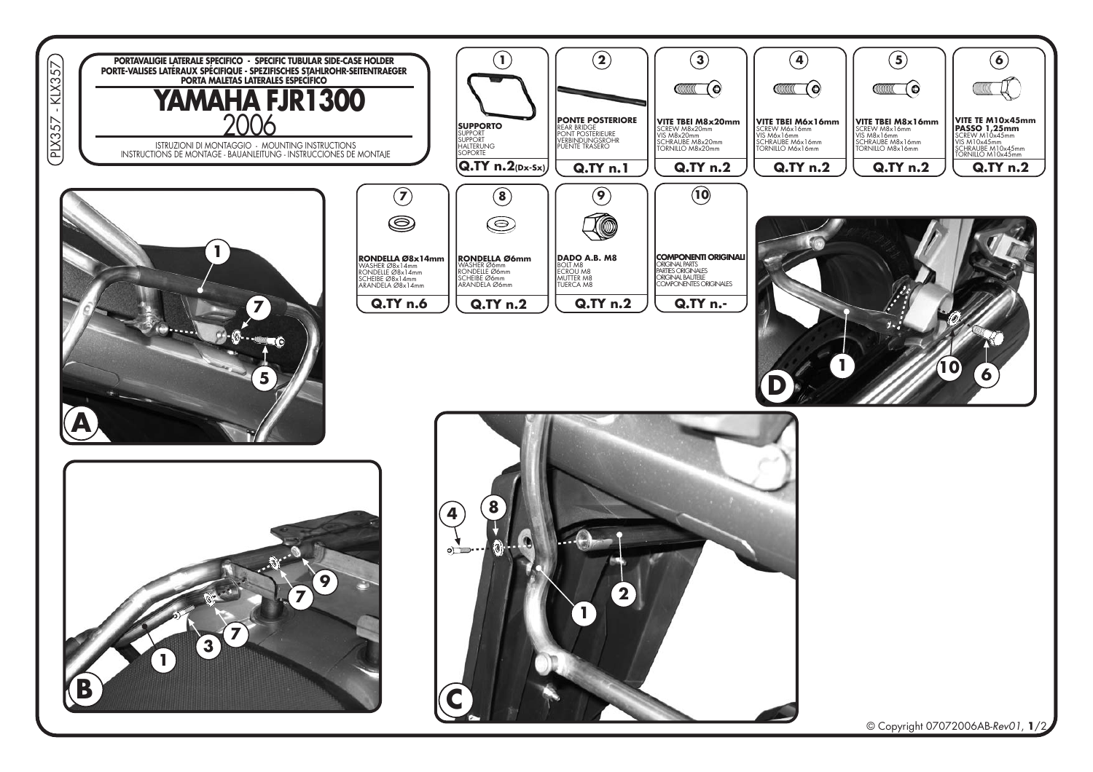